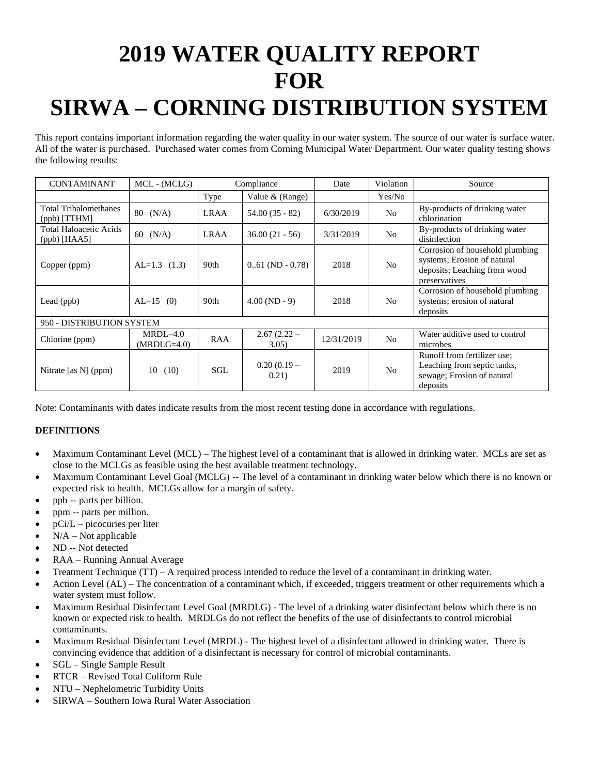# **2019 WATER QUALITY REPORT FOR SIRWA – CORNING DISTRIBUTION SYSTEM**

This report contains important information regarding the water quality in our water system. The source of our water is surface water. All of the water is purchased. Purchased water comes from Corning Municipal Water Department. Our water quality testing shows the following results:

| <b>CONTAMINANT</b>                              | MCL - (MCLG)                |             | Compliance                | Date       | Violation      | Source                                                                                                          |
|-------------------------------------------------|-----------------------------|-------------|---------------------------|------------|----------------|-----------------------------------------------------------------------------------------------------------------|
|                                                 |                             | Type        | Value $&$ (Range)         |            | Yes/No         |                                                                                                                 |
| <b>Total Trihalomethanes</b><br>(ppb) [TTHM]    | $80 \t(N/A)$                | <b>LRAA</b> | $54.00(35 - 82)$          | 6/30/2019  | N <sub>o</sub> | By-products of drinking water<br>chlorination                                                                   |
| <b>Total Haloacetic Acids</b><br>$(ppb)$ [HAA5] | (N/A)<br>60                 | <b>LRAA</b> | $36.00(21 - 56)$          | 3/31/2019  | N <sub>0</sub> | By-products of drinking water<br>disinfection                                                                   |
| Copper (ppm)                                    | $AL=1.3$ (1.3)              | 90th        | $0.61$ (ND $-0.78$ )      | 2018       | N <sub>0</sub> | Corrosion of household plumbing<br>systems; Erosion of natural<br>deposits; Leaching from wood<br>preservatives |
| Lead $(ppb)$                                    | $AL=15$ (0)                 | 90th        | $4.00 \, (\text{ND} - 9)$ | 2018       | N <sub>0</sub> | Corrosion of household plumbing<br>systems; erosion of natural<br>deposits                                      |
| 950 - DISTRIBUTION SYSTEM                       |                             |             |                           |            |                |                                                                                                                 |
| Chlorine (ppm)                                  | $MRDL=4.0$<br>$(MRDLG=4.0)$ | RAA         | $2.67(2.22 -$<br>3.05)    | 12/31/2019 | N <sub>o</sub> | Water additive used to control<br>microbes                                                                      |
| Nitrate [as N] (ppm)                            | (10)<br>10                  | SGL         | $0.20(0.19 -$<br>0.21)    | 2019       | N <sub>o</sub> | Runoff from fertilizer use;<br>Leaching from septic tanks,<br>sewage; Erosion of natural<br>deposits            |

Note: Contaminants with dates indicate results from the most recent testing done in accordance with regulations.

- Maximum Contaminant Level (MCL) The highest level of a contaminant that is allowed in drinking water. MCLs are set as close to the MCLGs as feasible using the best available treatment technology.
- Maximum Contaminant Level Goal (MCLG) -- The level of a contaminant in drinking water below which there is no known or expected risk to health. MCLGs allow for a margin of safety.
- ppb -- parts per billion.
- ppm -- parts per million.
- $pCi/L$  picocuries per liter
- $N/A Not applicable$
- ND -- Not detected
- RAA Running Annual Average
- Treatment Technique (TT) A required process intended to reduce the level of a contaminant in drinking water.
- Action Level (AL) The concentration of a contaminant which, if exceeded, triggers treatment or other requirements which a water system must follow.
- Maximum Residual Disinfectant Level Goal (MRDLG) The level of a drinking water disinfectant below which there is no known or expected risk to health. MRDLGs do not reflect the benefits of the use of disinfectants to control microbial contaminants.
- Maximum Residual Disinfectant Level (MRDL) The highest level of a disinfectant allowed in drinking water. There is convincing evidence that addition of a disinfectant is necessary for control of microbial contaminants.
- SGL Single Sample Result
- RTCR Revised Total Coliform Rule
- NTU Nephelometric Turbidity Units
- SIRWA Southern Iowa Rural Water Association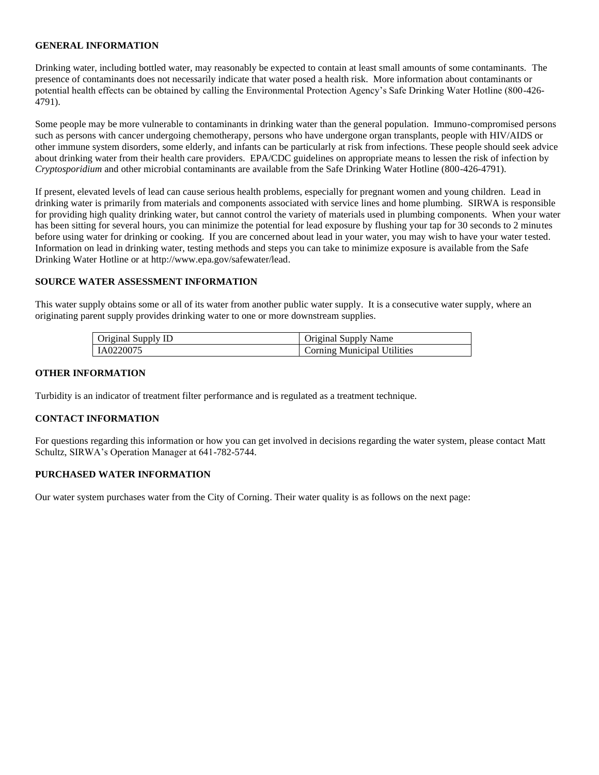Drinking water, including bottled water, may reasonably be expected to contain at least small amounts of some contaminants. The presence of contaminants does not necessarily indicate that water posed a health risk. More information about contaminants or potential health effects can be obtained by calling the Environmental Protection Agency's Safe Drinking Water Hotline (800-426- 4791).

Some people may be more vulnerable to contaminants in drinking water than the general population. Immuno-compromised persons such as persons with cancer undergoing chemotherapy, persons who have undergone organ transplants, people with HIV/AIDS or other immune system disorders, some elderly, and infants can be particularly at risk from infections. These people should seek advice about drinking water from their health care providers. EPA/CDC guidelines on appropriate means to lessen the risk of infection by *Cryptosporidium* and other microbial contaminants are available from the Safe Drinking Water Hotline (800-426-4791).

If present, elevated levels of lead can cause serious health problems, especially for pregnant women and young children. Lead in drinking water is primarily from materials and components associated with service lines and home plumbing. SIRWA is responsible for providing high quality drinking water, but cannot control the variety of materials used in plumbing components. When your water has been sitting for several hours, you can minimize the potential for lead exposure by flushing your tap for 30 seconds to 2 minutes before using water for drinking or cooking. If you are concerned about lead in your water, you may wish to have your water tested. Information on lead in drinking water, testing methods and steps you can take to minimize exposure is available from the Safe Drinking Water Hotline or at http://www.epa.gov/safewater/lead.

### **SOURCE WATER ASSESSMENT INFORMATION**

This water supply obtains some or all of its water from another public water supply. It is a consecutive water supply, where an originating parent supply provides drinking water to one or more downstream supplies.

| Original Supply ID | Original Supply Name               |
|--------------------|------------------------------------|
| IA0220075          | <b>Corning Municipal Utilities</b> |

#### **OTHER INFORMATION**

Turbidity is an indicator of treatment filter performance and is regulated as a treatment technique.

#### **CONTACT INFORMATION**

For questions regarding this information or how you can get involved in decisions regarding the water system, please contact Matt Schultz, SIRWA's Operation Manager at 641-782-5744.

### **PURCHASED WATER INFORMATION**

Our water system purchases water from the City of Corning. Their water quality is as follows on the next page: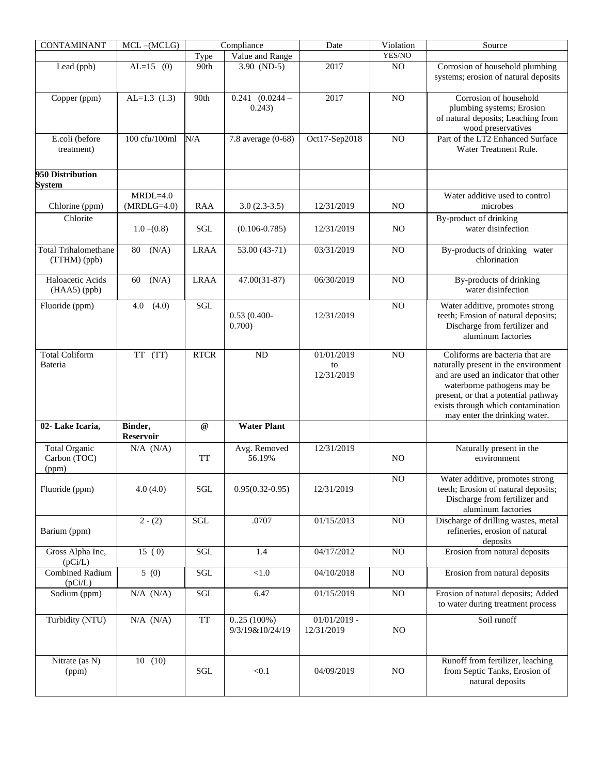| CONTAMINANT                                   | $MCL - (MCLG)$              |                                                  | Compliance                       | Date                         | Violation      | Source                                                                                                                                                                                                                     |
|-----------------------------------------------|-----------------------------|--------------------------------------------------|----------------------------------|------------------------------|----------------|----------------------------------------------------------------------------------------------------------------------------------------------------------------------------------------------------------------------------|
|                                               |                             | Type                                             | Value and Range                  |                              | YES/NO         |                                                                                                                                                                                                                            |
| Lead (ppb)                                    | $AL=15$ (0)                 | 90th                                             | $3.90$ (ND-5)                    | 2017                         | NO             | Corrosion of household plumbing<br>systems; erosion of natural deposits                                                                                                                                                    |
| Copper (ppm)                                  | $AL=1.3(1.3)$               | 90th                                             | $0.241$ $(0.0244 -$<br>0.243)    | 2017                         | NO             | Corrosion of household<br>plumbing systems; Erosion<br>of natural deposits; Leaching from<br>wood preservatives                                                                                                            |
| E.coli (before<br>treatment)                  | 100 cfu/100ml               | N/A                                              | 7.8 average (0-68)               | Oct17-Sep2018                | N <sub>O</sub> | Part of the LT2 Enhanced Surface<br>Water Treatment Rule.                                                                                                                                                                  |
| 950 Distribution<br><b>System</b>             |                             |                                                  |                                  |                              |                |                                                                                                                                                                                                                            |
|                                               | $MRDL=4.0$                  |                                                  |                                  |                              |                | Water additive used to control                                                                                                                                                                                             |
| Chlorine (ppm)                                | $(MRDLG=4.0)$               | <b>RAA</b>                                       | $3.0(2.3-3.5)$                   | 12/31/2019                   | N <sub>O</sub> | microbes                                                                                                                                                                                                                   |
| Chlorite                                      | $1.0 - (0.8)$               | SGL                                              | $(0.106 - 0.785)$                | 12/31/2019                   | N <sub>O</sub> | By-product of drinking<br>water disinfection                                                                                                                                                                               |
| <b>Total Trihalomethane</b><br>(TTHM) (ppb)   | (N/A)<br>80                 | <b>LRAA</b>                                      | 53.00 (43-71)                    | 03/31/2019                   | N <sub>O</sub> | By-products of drinking water<br>chlorination                                                                                                                                                                              |
| Haloacetic Acids<br>$(HAA5)$ (ppb)            | (N/A)<br>60                 | <b>LRAA</b>                                      | $47.00(31-87)$                   | 06/30/2019                   | N <sub>O</sub> | By-products of drinking<br>water disinfection                                                                                                                                                                              |
| Fluoride (ppm)                                | (4.0)<br>4.0                | SGL                                              | $0.53(0.400 -$<br>0.700)         | 12/31/2019                   | NO             | Water additive, promotes strong<br>teeth; Erosion of natural deposits;<br>Discharge from fertilizer and<br>aluminum factories                                                                                              |
| <b>Total Coliform</b>                         | TT (TT)                     | <b>RTCR</b>                                      | ND                               | 01/01/2019                   | N <sub>O</sub> | Coliforms are bacteria that are                                                                                                                                                                                            |
| Bateria                                       |                             |                                                  |                                  | to<br>12/31/2019             |                | naturally present in the environment<br>and are used an indicator that other<br>waterborne pathogens may be<br>present, or that a potential pathway<br>exists through which contamination<br>may enter the drinking water. |
| 02-Lake Icaria,                               | Binder,<br><b>Reservoir</b> | @                                                | <b>Water Plant</b>               |                              |                |                                                                                                                                                                                                                            |
| <b>Total Organic</b><br>Carbon (TOC)<br>(ppm) | $N/A$ $(N/A)$               | TT                                               | Avg. Removed<br>56.19%           | 12/31/2019                   | N <sub>O</sub> | Naturally present in the<br>environment                                                                                                                                                                                    |
| Fluoride (ppm)                                | 4.0(4.0)                    | SGL                                              | $0.95(0.32 - 0.95)$              | 12/31/2019                   | $\rm NO$       | Water additive, promotes strong<br>teeth; Erosion of natural deposits;<br>Discharge from fertilizer and<br>aluminum factories                                                                                              |
| Barium (ppm)                                  | $2-(2)$                     | $\operatorname{SGL}$                             | .0707                            | 01/15/2013                   | NO             | Discharge of drilling wastes, metal<br>refineries, erosion of natural<br>deposits                                                                                                                                          |
| Gross Alpha Inc,<br>(pCi/L)                   | 15(0)                       | <b>SGL</b>                                       | 1.4                              | 04/17/2012                   | N <sub>O</sub> | Erosion from natural deposits                                                                                                                                                                                              |
| <b>Combined Radium</b><br>(pCi/L)             | 5(0)                        | SGL                                              | $<1.0$                           | 04/10/2018                   | N <sub>O</sub> | Erosion from natural deposits                                                                                                                                                                                              |
| Sodium (ppm)                                  | $N/A$ $(N/A)$               | SGL                                              | 6.47                             | 01/15/2019                   | $\rm NO$       | Erosion of natural deposits; Added<br>to water during treatment process                                                                                                                                                    |
| Turbidity (NTU)                               | $N/A$ $(N/A)$               | $\ensuremath{\mathsf{T}}\ensuremath{\mathsf{T}}$ | $0.25(100\%)$<br>9/3/19&10/24/19 | $01/01/2019$ -<br>12/31/2019 | NO             | Soil runoff                                                                                                                                                                                                                |
| Nitrate (as N)<br>(ppm)                       | 10(10)                      | SGL                                              | < 0.1                            | 04/09/2019                   | NO             | Runoff from fertilizer, leaching<br>from Septic Tanks, Erosion of<br>natural deposits                                                                                                                                      |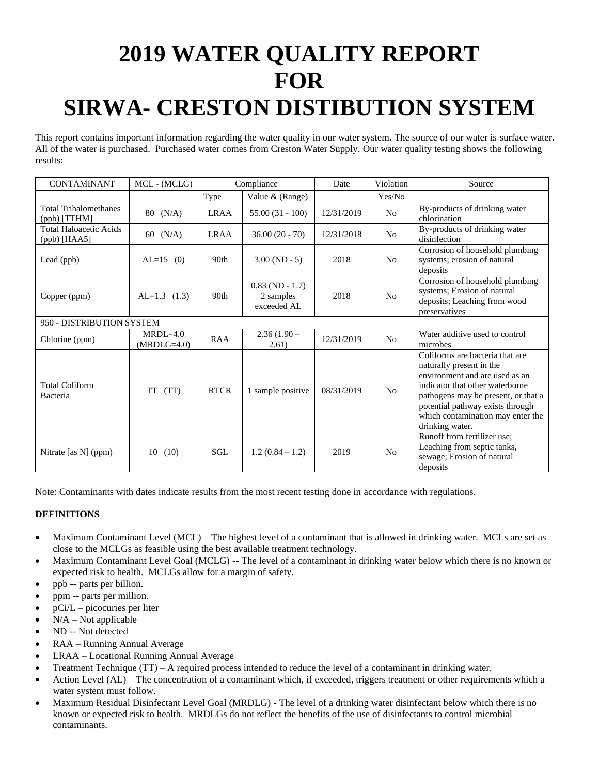# **2019 WATER QUALITY REPORT FOR SIRWA- CRESTON DISTIBUTION SYSTEM**

This report contains important information regarding the water quality in our water system. The source of our water is surface water. All of the water is purchased. Purchased water comes from Creston Water Supply. Our water quality testing shows the following results:

| CONTAMINANT                                     | MCL - (MCLG)                  |                  | Compliance                                    | Date       | Violation      | Source                                                                                                                                                                                                                                                              |
|-------------------------------------------------|-------------------------------|------------------|-----------------------------------------------|------------|----------------|---------------------------------------------------------------------------------------------------------------------------------------------------------------------------------------------------------------------------------------------------------------------|
|                                                 |                               | Type             | Value & (Range)                               |            | Yes/No         |                                                                                                                                                                                                                                                                     |
| <b>Total Trihalomethanes</b><br>$(ppb)$ [TTHM]  | $80 \t(N/A)$                  | <b>LRAA</b>      | $55.00(31 - 100)$                             | 12/31/2019 | N <sub>o</sub> | By-products of drinking water<br>chlorination                                                                                                                                                                                                                       |
| <b>Total Haloacetic Acids</b><br>$(ppb)$ [HAA5] | 60 $(N/A)$                    | <b>LRAA</b>      | $36.00(20 - 70)$                              | 12/31/2018 | N <sub>o</sub> | By-products of drinking water<br>disinfection                                                                                                                                                                                                                       |
| Lead (ppb)                                      | $AL=15$ (0)                   | 90 <sub>th</sub> | $3.00 (ND - 5)$                               | 2018       | N <sub>0</sub> | Corrosion of household plumbing<br>systems; erosion of natural<br>deposits                                                                                                                                                                                          |
| Copper (ppm)                                    | $AL=1.3$ (1.3)                | 90th             | $0.83$ (ND - 1.7)<br>2 samples<br>exceeded AL | 2018       | N <sub>o</sub> | Corrosion of household plumbing<br>systems; Erosion of natural<br>deposits; Leaching from wood<br>preservatives                                                                                                                                                     |
| 950 - DISTRIBUTION SYSTEM                       |                               |                  |                                               |            |                |                                                                                                                                                                                                                                                                     |
| Chlorine (ppm)                                  | $MRDI = 4.0$<br>$(MRDLG=4.0)$ | RAA              | $2.36(1.90 -$<br>2.61)                        | 12/31/2019 | N <sub>0</sub> | Water additive used to control<br>microbes                                                                                                                                                                                                                          |
| <b>Total Coliform</b><br>Bacteria               | (TT)<br>TT                    | <b>RTCR</b>      | 1 sample positive                             | 08/31/2019 | N <sub>o</sub> | Coliforms are bacteria that are<br>naturally present in the<br>environment and are used as an<br>indicator that other waterborne<br>pathogens may be present, or that a<br>potential pathway exists through<br>which contamination may enter the<br>drinking water. |
| Nitrate [as N] (ppm)                            | (10)<br>10                    | SGL              | $1.2(0.84-1.2)$                               | 2019       | N <sub>o</sub> | Runoff from fertilizer use;<br>Leaching from septic tanks,<br>sewage; Erosion of natural<br>deposits                                                                                                                                                                |

Note: Contaminants with dates indicate results from the most recent testing done in accordance with regulations.

- Maximum Contaminant Level (MCL) The highest level of a contaminant that is allowed in drinking water. MCLs are set as close to the MCLGs as feasible using the best available treatment technology.
- Maximum Contaminant Level Goal (MCLG) -- The level of a contaminant in drinking water below which there is no known or expected risk to health. MCLGs allow for a margin of safety.
- ppb -- parts per billion.
- ppm -- parts per million.
- $\bullet$  pCi/L picocuries per liter
- $N/A Not$  applicable
- ND -- Not detected
- RAA Running Annual Average
- LRAA Locational Running Annual Average
- Treatment Technique (TT) A required process intended to reduce the level of a contaminant in drinking water.
- Action Level (AL) The concentration of a contaminant which, if exceeded, triggers treatment or other requirements which a water system must follow.
- Maximum Residual Disinfectant Level Goal (MRDLG) The level of a drinking water disinfectant below which there is no known or expected risk to health. MRDLGs do not reflect the benefits of the use of disinfectants to control microbial contaminants.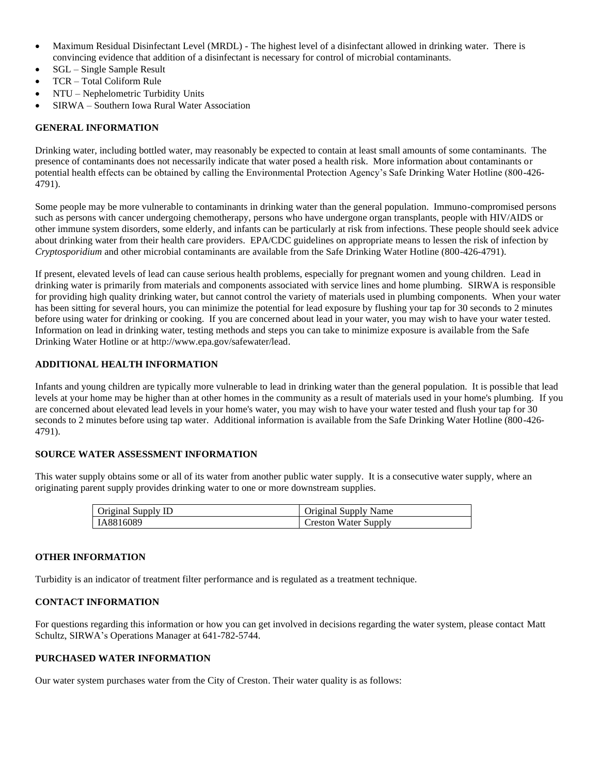- Maximum Residual Disinfectant Level (MRDL) The highest level of a disinfectant allowed in drinking water. There is convincing evidence that addition of a disinfectant is necessary for control of microbial contaminants.
- SGL Single Sample Result
- TCR Total Coliform Rule
- NTU Nephelometric Turbidity Units
- SIRWA Southern Iowa Rural Water Association

Drinking water, including bottled water, may reasonably be expected to contain at least small amounts of some contaminants. The presence of contaminants does not necessarily indicate that water posed a health risk. More information about contaminants or potential health effects can be obtained by calling the Environmental Protection Agency's Safe Drinking Water Hotline (800-426- 4791).

Some people may be more vulnerable to contaminants in drinking water than the general population. Immuno-compromised persons such as persons with cancer undergoing chemotherapy, persons who have undergone organ transplants, people with HIV/AIDS or other immune system disorders, some elderly, and infants can be particularly at risk from infections. These people should seek advice about drinking water from their health care providers. EPA/CDC guidelines on appropriate means to lessen the risk of infection by *Cryptosporidium* and other microbial contaminants are available from the Safe Drinking Water Hotline (800-426-4791).

If present, elevated levels of lead can cause serious health problems, especially for pregnant women and young children. Lead in drinking water is primarily from materials and components associated with service lines and home plumbing. SIRWA is responsible for providing high quality drinking water, but cannot control the variety of materials used in plumbing components. When your water has been sitting for several hours, you can minimize the potential for lead exposure by flushing your tap for 30 seconds to 2 minutes before using water for drinking or cooking. If you are concerned about lead in your water, you may wish to have your water tested. Information on lead in drinking water, testing methods and steps you can take to minimize exposure is available from the Safe Drinking Water Hotline or at http://www.epa.gov/safewater/lead.

# **ADDITIONAL HEALTH INFORMATION**

Infants and young children are typically more vulnerable to lead in drinking water than the general population. It is possible that lead levels at your home may be higher than at other homes in the community as a result of materials used in your home's plumbing. If you are concerned about elevated lead levels in your home's water, you may wish to have your water tested and flush your tap for 30 seconds to 2 minutes before using tap water. Additional information is available from the Safe Drinking Water Hotline (800-426- 4791).

# **SOURCE WATER ASSESSMENT INFORMATION**

This water supply obtains some or all of its water from another public water supply. It is a consecutive water supply, where an originating parent supply provides drinking water to one or more downstream supplies.

| Original Supply ID | Original Supply Name |
|--------------------|----------------------|
| IA8816089          | Creston Water Supply |

# **OTHER INFORMATION**

Turbidity is an indicator of treatment filter performance and is regulated as a treatment technique.

# **CONTACT INFORMATION**

For questions regarding this information or how you can get involved in decisions regarding the water system, please contact Matt Schultz, SIRWA's Operations Manager at 641-782-5744.

# **PURCHASED WATER INFORMATION**

Our water system purchases water from the City of Creston. Their water quality is as follows: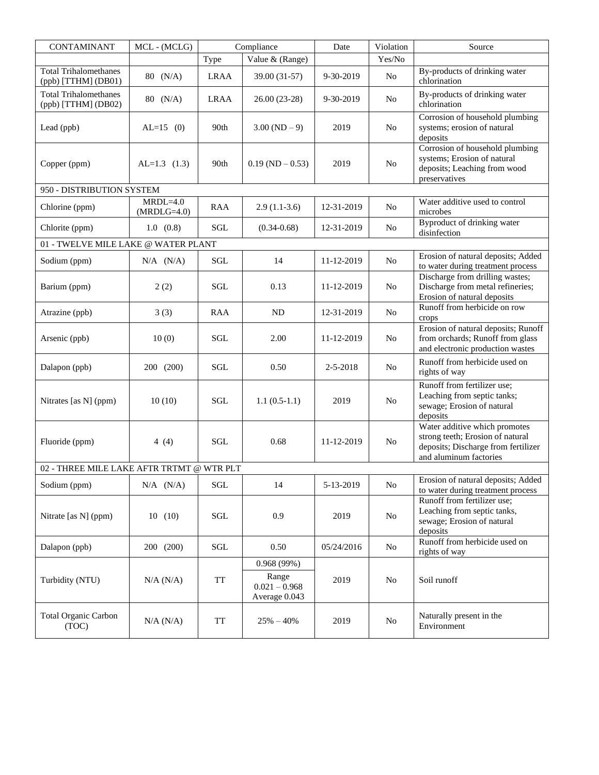| <b>CONTAMINANT</b>                                    | MCL - (MCLG)                |                               | Compliance                                              | Date       | Violation      | Source                                                                                                                             |
|-------------------------------------------------------|-----------------------------|-------------------------------|---------------------------------------------------------|------------|----------------|------------------------------------------------------------------------------------------------------------------------------------|
|                                                       |                             | Type                          | Value & (Range)                                         |            | Yes/No         |                                                                                                                                    |
| <b>Total Trihalomethanes</b><br>(ppb) [TTHM] (DB01)   | $80 \t(N/A)$                | <b>LRAA</b>                   | 39.00 (31-57)                                           | 9-30-2019  | No             | By-products of drinking water<br>chlorination                                                                                      |
| <b>Total Trihalomethanes</b><br>$(ppb)$ [TTHM] (DB02) | 80 (N/A)                    | <b>LRAA</b>                   | 26.00 (23-28)                                           | 9-30-2019  | No             | By-products of drinking water<br>chlorination                                                                                      |
| Lead (ppb)                                            | $AL=15$ (0)                 | 90th                          | $3.00 (ND - 9)$                                         | 2019       | N <sub>0</sub> | Corrosion of household plumbing<br>systems; erosion of natural<br>deposits                                                         |
| Copper (ppm)                                          | $AL=1.3$ (1.3)              | 90th                          | $0.19$ (ND $-0.53$ )                                    | 2019       | No             | Corrosion of household plumbing<br>systems; Erosion of natural<br>deposits; Leaching from wood<br>preservatives                    |
| 950 - DISTRIBUTION SYSTEM                             |                             |                               |                                                         |            |                |                                                                                                                                    |
| Chlorine (ppm)                                        | $MRDL=4.0$<br>$(MRDLG=4.0)$ | RAA                           | $2.9(1.1-3.6)$                                          | 12-31-2019 | No             | Water additive used to control<br>microbes                                                                                         |
| Chlorite (ppm)                                        | 1.0 (0.8)                   | SGL                           | $(0.34 - 0.68)$                                         | 12-31-2019 | No             | Byproduct of drinking water<br>disinfection                                                                                        |
| 01 - TWELVE MILE LAKE @ WATER PLANT                   |                             |                               |                                                         |            |                |                                                                                                                                    |
| Sodium (ppm)                                          | $N/A$ $(N/A)$               | SGL                           | 14                                                      | 11-12-2019 | No.            | Erosion of natural deposits; Added<br>to water during treatment process                                                            |
| Barium (ppm)                                          | 2(2)                        | SGL                           | 0.13                                                    | 11-12-2019 | N <sub>o</sub> | Discharge from drilling wastes;<br>Discharge from metal refineries;<br>Erosion of natural deposits                                 |
| Atrazine (ppb)                                        | 3(3)                        | RAA                           | <b>ND</b>                                               | 12-31-2019 | No             | Runoff from herbicide on row<br>crops                                                                                              |
| Arsenic (ppb)                                         | 10(0)                       | SGL                           | 2.00                                                    | 11-12-2019 | N <sub>o</sub> | Erosion of natural deposits; Runoff<br>from orchards; Runoff from glass<br>and electronic production wastes                        |
| Dalapon (ppb)                                         | 200 (200)                   | SGL                           | 0.50                                                    | 2-5-2018   | No             | Runoff from herbicide used on<br>rights of way                                                                                     |
| Nitrates [as N] (ppm)                                 | 10(10)                      | <b>SGL</b>                    | $1.1(0.5-1.1)$                                          | 2019       | N <sub>o</sub> | Runoff from fertilizer use;<br>Leaching from septic tanks;<br>sewage; Erosion of natural<br>deposits                               |
| Fluoride (ppm)                                        | 4 $(4)$                     | <b>SGL</b>                    | 0.68                                                    | 11-12-2019 | No             | Water additive which promotes<br>strong teeth; Erosion of natural<br>deposits; Discharge from fertilizer<br>and aluminum factories |
| 02 - THREE MILE LAKE AFTR TRTMT @ WTR PLT             |                             |                               |                                                         |            |                |                                                                                                                                    |
| Sodium (ppm)                                          | $N/A$ $(N/A)$               | SGL                           | 14                                                      | 5-13-2019  | N <sub>0</sub> | Erosion of natural deposits; Added<br>to water during treatment process                                                            |
| Nitrate [as N] (ppm)                                  | 10(10)                      | SGL                           | 0.9                                                     | 2019       | No             | Runoff from fertilizer use;<br>Leaching from septic tanks,<br>sewage; Erosion of natural<br>deposits                               |
| Dalapon (ppb)                                         | 200 (200)                   | $\operatorname{\mathbf{SGL}}$ | 0.50                                                    | 05/24/2016 | No             | Runoff from herbicide used on<br>rights of way                                                                                     |
| Turbidity (NTU)                                       | N/A (N/A)                   | <b>TT</b>                     | 0.968(99%)<br>Range<br>$0.021 - 0.968$<br>Average 0.043 | 2019       | N <sub>0</sub> | Soil runoff                                                                                                                        |
| <b>Total Organic Carbon</b><br>(TOC)                  | N/A (N/A)                   | TT                            | $25\% - 40\%$                                           | 2019       | No.            | Naturally present in the<br>Environment                                                                                            |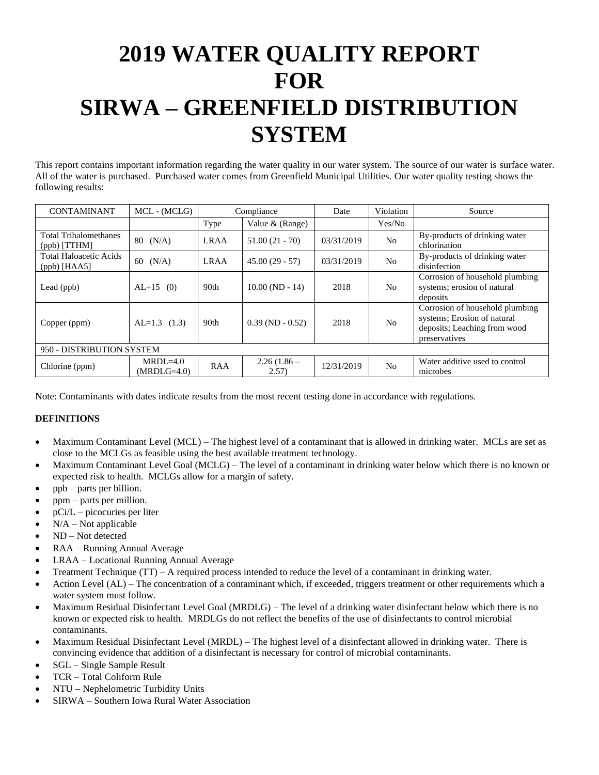# **2019 WATER QUALITY REPORT FOR SIRWA – GREENFIELD DISTRIBUTION SYSTEM**

This report contains important information regarding the water quality in our water system. The source of our water is surface water. All of the water is purchased. Purchased water comes from Greenfield Municipal Utilities. Our water quality testing shows the following results:

| <b>CONTAMINANT</b>                              | MCL - (MCLG)                |             | Compliance             | Date       | Violation      | Source                                                                                                          |  |  |
|-------------------------------------------------|-----------------------------|-------------|------------------------|------------|----------------|-----------------------------------------------------------------------------------------------------------------|--|--|
|                                                 |                             | Type        | Value $&$ (Range)      |            | Yes/No         |                                                                                                                 |  |  |
| <b>Total Trihalomethanes</b><br>$(ppb)$ [TTHM]  | $80 \t(N/A)$                | <b>LRAA</b> | $51.00(21 - 70)$       | 03/31/2019 | N <sub>o</sub> | By-products of drinking water<br>chlorination                                                                   |  |  |
| <b>Total Haloacetic Acids</b><br>$(ppb)$ [HAA5] | 60<br>(N/A)                 | <b>LRAA</b> | $45.00(29 - 57)$       | 03/31/2019 | N <sub>o</sub> | By-products of drinking water<br>disinfection                                                                   |  |  |
| Lead (ppb)                                      | $AL=15$ (0)                 | 90th        | $10.00(ND - 14)$       | 2018       | N <sub>o</sub> | Corrosion of household plumbing<br>systems; erosion of natural<br>deposits                                      |  |  |
| Copper (ppm)                                    | $AL=1.3$ (1.3)              | 90th        | $0.39(ND - 0.52)$      | 2018       | No             | Corrosion of household plumbing<br>systems; Erosion of natural<br>deposits; Leaching from wood<br>preservatives |  |  |
| 950 - DISTRIBUTION SYSTEM                       |                             |             |                        |            |                |                                                                                                                 |  |  |
| Chlorine (ppm)                                  | $MRDL=4.0$<br>$(MRDLG=4.0)$ | <b>RAA</b>  | $2.26(1.86 -$<br>2.57) | 12/31/2019 | N <sub>o</sub> | Water additive used to control<br>microbes                                                                      |  |  |

Note: Contaminants with dates indicate results from the most recent testing done in accordance with regulations.

- Maximum Contaminant Level (MCL) The highest level of a contaminant that is allowed in drinking water. MCLs are set as close to the MCLGs as feasible using the best available treatment technology.
- Maximum Contaminant Level Goal (MCLG) The level of a contaminant in drinking water below which there is no known or expected risk to health. MCLGs allow for a margin of safety.
- ppb parts per billion.
- ppm parts per million.
- pCi/L picocuries per liter
- $N/A Not$  applicable
- ND Not detected
- RAA Running Annual Average
- LRAA Locational Running Annual Average
- Treatment Technique (TT) A required process intended to reduce the level of a contaminant in drinking water.
- Action Level (AL) The concentration of a contaminant which, if exceeded, triggers treatment or other requirements which a water system must follow.
- Maximum Residual Disinfectant Level Goal (MRDLG) The level of a drinking water disinfectant below which there is no known or expected risk to health. MRDLGs do not reflect the benefits of the use of disinfectants to control microbial contaminants.
- Maximum Residual Disinfectant Level (MRDL) The highest level of a disinfectant allowed in drinking water. There is convincing evidence that addition of a disinfectant is necessary for control of microbial contaminants.
- SGL Single Sample Result
- TCR Total Coliform Rule
- NTU Nephelometric Turbidity Units
- SIRWA Southern Iowa Rural Water Association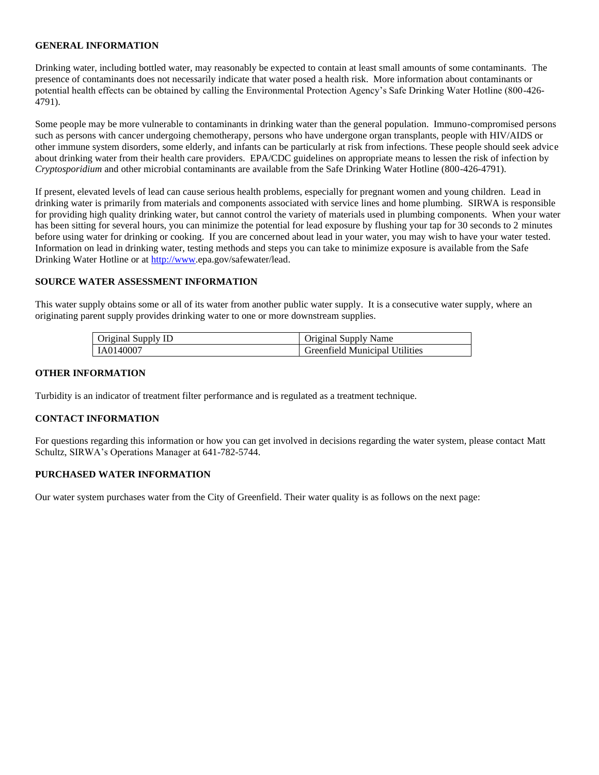Drinking water, including bottled water, may reasonably be expected to contain at least small amounts of some contaminants. The presence of contaminants does not necessarily indicate that water posed a health risk. More information about contaminants or potential health effects can be obtained by calling the Environmental Protection Agency's Safe Drinking Water Hotline (800-426- 4791).

Some people may be more vulnerable to contaminants in drinking water than the general population. Immuno-compromised persons such as persons with cancer undergoing chemotherapy, persons who have undergone organ transplants, people with HIV/AIDS or other immune system disorders, some elderly, and infants can be particularly at risk from infections. These people should seek advice about drinking water from their health care providers. EPA/CDC guidelines on appropriate means to lessen the risk of infection by *Cryptosporidium* and other microbial contaminants are available from the Safe Drinking Water Hotline (800-426-4791).

If present, elevated levels of lead can cause serious health problems, especially for pregnant women and young children. Lead in drinking water is primarily from materials and components associated with service lines and home plumbing. SIRWA is responsible for providing high quality drinking water, but cannot control the variety of materials used in plumbing components. When your water has been sitting for several hours, you can minimize the potential for lead exposure by flushing your tap for 30 seconds to 2 minutes before using water for drinking or cooking. If you are concerned about lead in your water, you may wish to have your water tested. Information on lead in drinking water, testing methods and steps you can take to minimize exposure is available from the Safe Drinking Water Hotline or a[t http://www.](http://www/)epa.gov/safewater/lead.

### **SOURCE WATER ASSESSMENT INFORMATION**

This water supply obtains some or all of its water from another public water supply. It is a consecutive water supply, where an originating parent supply provides drinking water to one or more downstream supplies.

| Original Supply ID | Original Supply Name           |
|--------------------|--------------------------------|
| IA0140007          | Greenfield Municipal Utilities |

#### **OTHER INFORMATION**

Turbidity is an indicator of treatment filter performance and is regulated as a treatment technique.

#### **CONTACT INFORMATION**

For questions regarding this information or how you can get involved in decisions regarding the water system, please contact Matt Schultz, SIRWA's Operations Manager at 641-782-5744.

### **PURCHASED WATER INFORMATION**

Our water system purchases water from the City of Greenfield. Their water quality is as follows on the next page: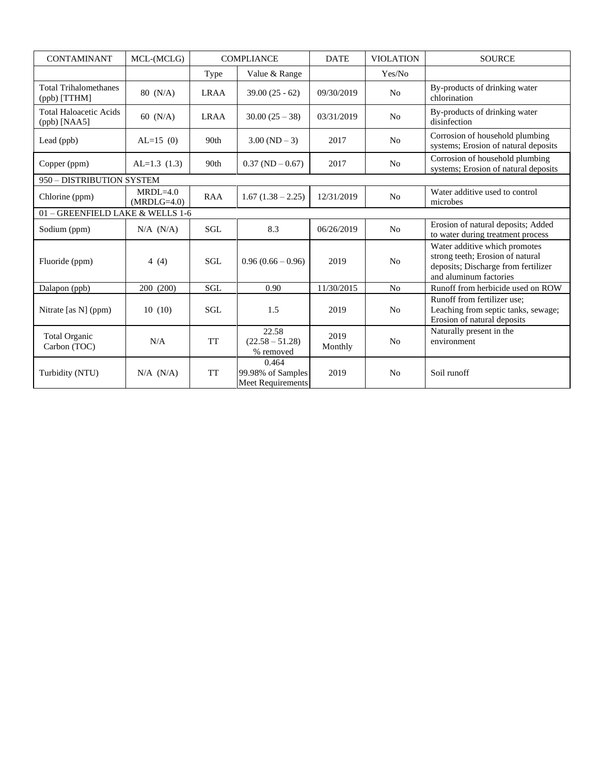| <b>CONTAMINANT</b>                              | MCL-(MCLG)                    |             | <b>COMPLIANCE</b>                                      | <b>DATE</b>     | <b>VIOLATION</b> | <b>SOURCE</b>                                                                                                                      |
|-------------------------------------------------|-------------------------------|-------------|--------------------------------------------------------|-----------------|------------------|------------------------------------------------------------------------------------------------------------------------------------|
|                                                 |                               | Type        | Value & Range                                          |                 | Yes/No           |                                                                                                                                    |
| <b>Total Trihalomethanes</b><br>(ppb) [TTHM]    | 80 (N/A)                      | <b>LRAA</b> | $39.00(25 - 62)$                                       | 09/30/2019      | No               | By-products of drinking water<br>chlorination                                                                                      |
| <b>Total Haloacetic Acids</b><br>$(ppb)$ [NAA5] | 60 $(N/A)$                    | <b>LRAA</b> | $30.00(25-38)$                                         | 03/31/2019      | N <sub>o</sub>   | By-products of drinking water<br>disinfection                                                                                      |
| Lead (ppb)                                      | $AL=15(0)$                    | 90th        | $3.00 (ND - 3)$                                        | 2017            | No               | Corrosion of household plumbing<br>systems; Erosion of natural deposits                                                            |
| Copper (ppm)                                    | $AL=1.3(1.3)$                 | 90th        | $0.37 (ND - 0.67)$                                     | 2017            | No               | Corrosion of household plumbing<br>systems; Erosion of natural deposits                                                            |
| 950 - DISTRIBUTION SYSTEM                       |                               |             |                                                        |                 |                  |                                                                                                                                    |
| Chlorine (ppm)                                  | $MRDI = 4.0$<br>$(MRDLG=4.0)$ | <b>RAA</b>  | $1.67(1.38 - 2.25)$                                    | 12/31/2019      | No               | Water additive used to control<br>microbes                                                                                         |
| 01 - GREENFIELD LAKE & WELLS 1-6                |                               |             |                                                        |                 |                  |                                                                                                                                    |
| Sodium (ppm)                                    | $N/A$ $(N/A)$                 | SGL         | 8.3                                                    | 06/26/2019      | N <sub>o</sub>   | Erosion of natural deposits; Added<br>to water during treatment process                                                            |
| Fluoride (ppm)                                  | 4 $(4)$                       | <b>SGL</b>  | $0.96(0.66 - 0.96)$                                    | 2019            | No               | Water additive which promotes<br>strong teeth; Erosion of natural<br>deposits; Discharge from fertilizer<br>and aluminum factories |
| Dalapon (ppb)                                   | 200 (200)                     | <b>SGL</b>  | 0.90                                                   | 11/30/2015      | N <sub>o</sub>   | Runoff from herbicide used on ROW                                                                                                  |
| Nitrate [as N] (ppm)                            | 10(10)                        | <b>SGL</b>  | 1.5                                                    | 2019            | N <sub>0</sub>   | Runoff from fertilizer use;<br>Leaching from septic tanks, sewage;<br>Erosion of natural deposits                                  |
| <b>Total Organic</b><br>Carbon (TOC)            | N/A                           | <b>TT</b>   | 22.58<br>$(22.58 - 51.28)$<br>% removed                | 2019<br>Monthly | N <sub>o</sub>   | Naturally present in the<br>environment                                                                                            |
| Turbidity (NTU)                                 | $N/A$ $(N/A)$                 | <b>TT</b>   | 0.464<br>99.98% of Samples<br><b>Meet Requirements</b> | 2019            | N <sub>0</sub>   | Soil runoff                                                                                                                        |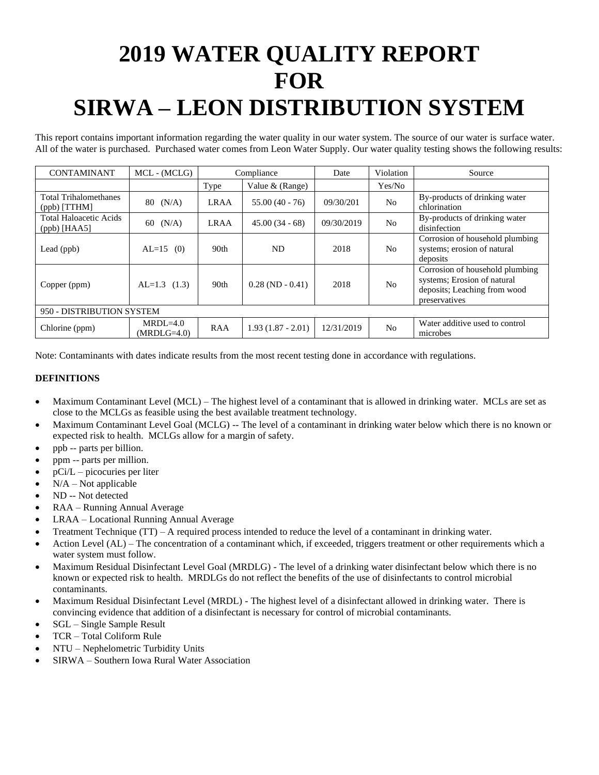# **2019 WATER QUALITY REPORT FOR SIRWA – LEON DISTRIBUTION SYSTEM**

This report contains important information regarding the water quality in our water system. The source of our water is surface water. All of the water is purchased. Purchased water comes from Leon Water Supply. Our water quality testing shows the following results:

| <b>CONTAMINANT</b>                              | MCL - (MCLG)                |                  | Compliance           | Date       | Violation      | Source                                                                                                          |  |  |
|-------------------------------------------------|-----------------------------|------------------|----------------------|------------|----------------|-----------------------------------------------------------------------------------------------------------------|--|--|
|                                                 |                             | Type             | Value $&$ (Range)    |            | Yes/No         |                                                                                                                 |  |  |
| <b>Total Trihalomethanes</b><br>$(ppb)$ [TTHM]  | (N/A)<br>80                 | <b>LRAA</b>      | $55.00(40 - 76)$     | 09/30/201  | N <sub>o</sub> | By-products of drinking water<br>chlorination                                                                   |  |  |
| <b>Total Haloacetic Acids</b><br>$(ppb)$ [HAA5] | (N/A)<br>60                 | <b>LRAA</b>      | $45.00(34-68)$       | 09/30/2019 | N <sub>o</sub> | By-products of drinking water<br>disinfection                                                                   |  |  |
| Lead (ppb)                                      | $AL=15$ (0)                 | 90 <sub>th</sub> | ND.                  | 2018       | No             | Corrosion of household plumbing<br>systems; erosion of natural<br>deposits                                      |  |  |
| Copper (ppm)                                    | $AL=1.3$ (1.3)              | 90th             | $0.28$ (ND $-0.41$ ) | 2018       | N <sub>0</sub> | Corrosion of household plumbing<br>systems; Erosion of natural<br>deposits; Leaching from wood<br>preservatives |  |  |
| 950 - DISTRIBUTION SYSTEM                       |                             |                  |                      |            |                |                                                                                                                 |  |  |
| Chlorine (ppm)                                  | $MRDL=4.0$<br>$(MRDLG=4.0)$ | <b>RAA</b>       | $1.93(1.87 - 2.01)$  | 12/31/2019 | N <sub>o</sub> | Water additive used to control<br>microbes                                                                      |  |  |

Note: Contaminants with dates indicate results from the most recent testing done in accordance with regulations.

- Maximum Contaminant Level (MCL) The highest level of a contaminant that is allowed in drinking water. MCLs are set as close to the MCLGs as feasible using the best available treatment technology.
- Maximum Contaminant Level Goal (MCLG) -- The level of a contaminant in drinking water below which there is no known or expected risk to health. MCLGs allow for a margin of safety.
- ppb -- parts per billion.
- ppm -- parts per million.
- pCi/L picocuries per liter
- $N/A Not applicable$
- ND -- Not detected
- RAA Running Annual Average
- LRAA Locational Running Annual Average
- Treatment Technique (TT) A required process intended to reduce the level of a contaminant in drinking water.
- Action Level (AL) The concentration of a contaminant which, if exceeded, triggers treatment or other requirements which a water system must follow.
- Maximum Residual Disinfectant Level Goal (MRDLG) The level of a drinking water disinfectant below which there is no known or expected risk to health. MRDLGs do not reflect the benefits of the use of disinfectants to control microbial contaminants.
- Maximum Residual Disinfectant Level (MRDL) The highest level of a disinfectant allowed in drinking water. There is convincing evidence that addition of a disinfectant is necessary for control of microbial contaminants.
- SGL Single Sample Result
- TCR Total Coliform Rule
- NTU Nephelometric Turbidity Units
- SIRWA Southern Iowa Rural Water Association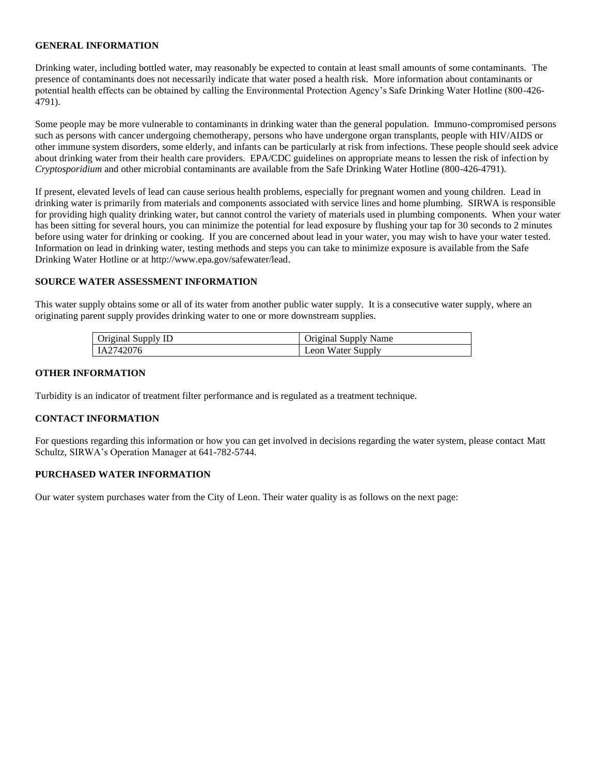Drinking water, including bottled water, may reasonably be expected to contain at least small amounts of some contaminants. The presence of contaminants does not necessarily indicate that water posed a health risk. More information about contaminants or potential health effects can be obtained by calling the Environmental Protection Agency's Safe Drinking Water Hotline (800-426- 4791).

Some people may be more vulnerable to contaminants in drinking water than the general population. Immuno-compromised persons such as persons with cancer undergoing chemotherapy, persons who have undergone organ transplants, people with HIV/AIDS or other immune system disorders, some elderly, and infants can be particularly at risk from infections. These people should seek advice about drinking water from their health care providers. EPA/CDC guidelines on appropriate means to lessen the risk of infection by *Cryptosporidium* and other microbial contaminants are available from the Safe Drinking Water Hotline (800-426-4791).

If present, elevated levels of lead can cause serious health problems, especially for pregnant women and young children. Lead in drinking water is primarily from materials and components associated with service lines and home plumbing. SIRWA is responsible for providing high quality drinking water, but cannot control the variety of materials used in plumbing components. When your water has been sitting for several hours, you can minimize the potential for lead exposure by flushing your tap for 30 seconds to 2 minutes before using water for drinking or cooking. If you are concerned about lead in your water, you may wish to have your water tested. Information on lead in drinking water, testing methods and steps you can take to minimize exposure is available from the Safe Drinking Water Hotline or at http://www.epa.gov/safewater/lead.

### **SOURCE WATER ASSESSMENT INFORMATION**

This water supply obtains some or all of its water from another public water supply. It is a consecutive water supply, where an originating parent supply provides drinking water to one or more downstream supplies.

| Original Supply ID | Original Supply Name |
|--------------------|----------------------|
| LA2742076          | Leon Water Supply    |

#### **OTHER INFORMATION**

Turbidity is an indicator of treatment filter performance and is regulated as a treatment technique.

#### **CONTACT INFORMATION**

For questions regarding this information or how you can get involved in decisions regarding the water system, please contact Matt Schultz, SIRWA's Operation Manager at 641-782-5744.

### **PURCHASED WATER INFORMATION**

Our water system purchases water from the City of Leon. Their water quality is as follows on the next page: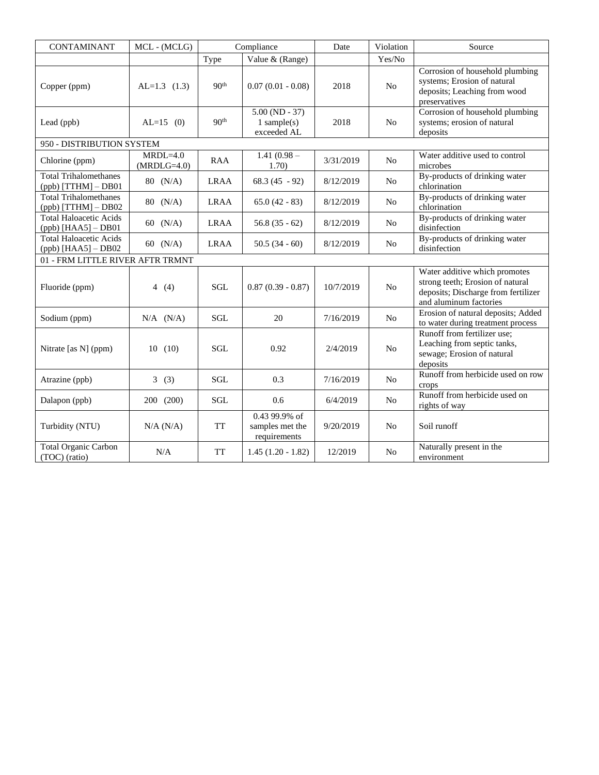| <b>CONTAMINANT</b>                                      | MCL - (MCLG)                |                  | Compliance                                       | Date      | Violation      | Source                                                                                                                             |
|---------------------------------------------------------|-----------------------------|------------------|--------------------------------------------------|-----------|----------------|------------------------------------------------------------------------------------------------------------------------------------|
|                                                         |                             | Type             | Value & (Range)                                  |           | Yes/No         |                                                                                                                                    |
| Copper (ppm)                                            | $AL=1.3$ (1.3)              | 90 <sup>th</sup> | $0.07(0.01 - 0.08)$                              | 2018      | N <sub>0</sub> | Corrosion of household plumbing<br>systems; Erosion of natural<br>deposits; Leaching from wood<br>preservatives                    |
| Lead (ppb)                                              | $AL=15$ (0)                 | 90 <sup>th</sup> | $5.00 (ND - 37)$<br>$1$ sample(s)<br>exceeded AL | 2018      | N <sub>0</sub> | Corrosion of household plumbing<br>systems; erosion of natural<br>deposits                                                         |
| 950 - DISTRIBUTION SYSTEM                               |                             |                  |                                                  |           |                |                                                                                                                                    |
| Chlorine (ppm)                                          | $MRDL=4.0$<br>$(MRDLG=4.0)$ | <b>RAA</b>       | $\overline{1.41}$ (0.98 –<br>1.70)               | 3/31/2019 | N <sub>o</sub> | Water additive used to control<br>microbes                                                                                         |
| <b>Total Trihalomethanes</b><br>$(ppb)$ [TTHM] $-$ DB01 | $80 \, (N/A)$               | <b>LRAA</b>      | $68.3(45 - 92)$                                  | 8/12/2019 | N <sub>0</sub> | By-products of drinking water<br>chlorination                                                                                      |
| <b>Total Trihalomethanes</b><br>$(ppb)$ [TTHM] $-$ DB02 | 80 (N/A)                    | <b>LRAA</b>      | $65.0(42 - 83)$                                  | 8/12/2019 | N <sub>0</sub> | By-products of drinking water<br>chlorination                                                                                      |
| <b>Total Haloacetic Acids</b><br>$(ppb)$ [HAA5] - DB01  | 60 $(N/A)$                  | <b>LRAA</b>      | $56.8(35-62)$                                    | 8/12/2019 | N <sub>o</sub> | By-products of drinking water<br>disinfection                                                                                      |
| <b>Total Haloacetic Acids</b><br>$(ppb)$ [HAA5] - DB02  | 60 $(N/A)$                  | <b>LRAA</b>      | $50.5(34-60)$                                    | 8/12/2019 | N <sub>o</sub> | By-products of drinking water<br>disinfection                                                                                      |
| 01 - FRM LITTLE RIVER AFTR TRMNT                        |                             |                  |                                                  |           |                |                                                                                                                                    |
| Fluoride (ppm)                                          | 4(4)                        | <b>SGL</b>       | $0.87(0.39 - 0.87)$                              | 10/7/2019 | No             | Water additive which promotes<br>strong teeth; Erosion of natural<br>deposits; Discharge from fertilizer<br>and aluminum factories |
| Sodium (ppm)                                            | $N/A$ $(N/A)$               | <b>SGL</b>       | 20                                               | 7/16/2019 | No             | Erosion of natural deposits; Added<br>to water during treatment process                                                            |
| Nitrate [as N] (ppm)                                    | 10(10)                      | <b>SGL</b>       | 0.92                                             | 2/4/2019  | N <sub>0</sub> | Runoff from fertilizer use;<br>Leaching from septic tanks,<br>sewage; Erosion of natural<br>deposits                               |
| Atrazine (ppb)                                          | 3(3)                        | <b>SGL</b>       | 0.3                                              | 7/16/2019 | N <sub>0</sub> | Runoff from herbicide used on row<br>crops                                                                                         |
| Dalapon (ppb)                                           | 200 (200)                   | SGL              | 0.6                                              | 6/4/2019  | No             | Runoff from herbicide used on<br>rights of way                                                                                     |
| Turbidity (NTU)                                         | N/A (N/A)                   | <b>TT</b>        | 0.43 99.9% of<br>samples met the<br>requirements | 9/20/2019 | N <sub>0</sub> | Soil runoff                                                                                                                        |
| <b>Total Organic Carbon</b><br>(TOC) (ratio)            | N/A                         | <b>TT</b>        | $1.45(1.20 - 1.82)$                              | 12/2019   | N <sub>0</sub> | Naturally present in the<br>environment                                                                                            |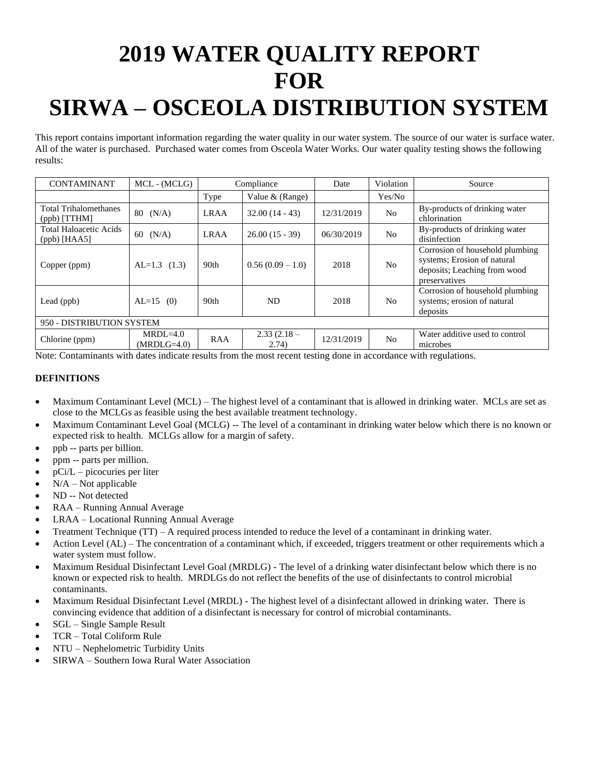# **2019 WATER QUALITY REPORT FOR SIRWA – OSCEOLA DISTRIBUTION SYSTEM**

This report contains important information regarding the water quality in our water system. The source of our water is surface water. All of the water is purchased. Purchased water comes from Osceola Water Works. Our water quality testing shows the following results:

| <b>CONTAMINANT</b>                              | MCL - (MCLG)                | Compliance       |                        | Date       | Violation      | Source                                                                                                          |  |  |  |
|-------------------------------------------------|-----------------------------|------------------|------------------------|------------|----------------|-----------------------------------------------------------------------------------------------------------------|--|--|--|
|                                                 |                             | Type             | Value $&$ (Range)      |            | Yes/No         |                                                                                                                 |  |  |  |
| <b>Total Trihalomethanes</b><br>$(ppb)$ [TTHM]  | 80<br>(N/A)                 | <b>LRAA</b>      | $32.00(14 - 43)$       | 12/31/2019 | N <sub>o</sub> | By-products of drinking water<br>chlorination                                                                   |  |  |  |
| <b>Total Haloacetic Acids</b><br>$(ppb)$ [HAA5] | (N/A)<br>60                 | <b>LRAA</b>      | $26.00(15 - 39)$       | 06/30/2019 | N <sub>o</sub> | By-products of drinking water<br>disinfection                                                                   |  |  |  |
| Copper (ppm)                                    | $AL=1.3$ (1.3)              | 90 <sub>th</sub> | $0.56(0.09-1.0)$       | 2018       | N <sub>0</sub> | Corrosion of household plumbing<br>systems; Erosion of natural<br>deposits; Leaching from wood<br>preservatives |  |  |  |
| Lead (ppb)                                      | $AL=15$ (0)                 | 90 <sub>th</sub> | ND.                    | 2018       | N <sub>0</sub> | Corrosion of household plumbing<br>systems; erosion of natural<br>deposits                                      |  |  |  |
| 950 - DISTRIBUTION SYSTEM                       |                             |                  |                        |            |                |                                                                                                                 |  |  |  |
| Chlorine (ppm)                                  | $MRDL=4.0$<br>$(MRDLG=4.0)$ | <b>RAA</b>       | $2.33(2.18 -$<br>2.74) | 12/31/2019 | N <sub>o</sub> | Water additive used to control<br>microbes                                                                      |  |  |  |

Note: Contaminants with dates indicate results from the most recent testing done in accordance with regulations.

- Maximum Contaminant Level (MCL) The highest level of a contaminant that is allowed in drinking water. MCLs are set as close to the MCLGs as feasible using the best available treatment technology.
- Maximum Contaminant Level Goal (MCLG) -- The level of a contaminant in drinking water below which there is no known or expected risk to health. MCLGs allow for a margin of safety.
- ppb -- parts per billion.
- ppm -- parts per million.
- pCi/L picocuries per liter
- $N/A Not$  applicable
- ND -- Not detected
- RAA Running Annual Average
- LRAA Locational Running Annual Average
- Treatment Technique (TT) A required process intended to reduce the level of a contaminant in drinking water.
- Action Level (AL) The concentration of a contaminant which, if exceeded, triggers treatment or other requirements which a water system must follow.
- Maximum Residual Disinfectant Level Goal (MRDLG) The level of a drinking water disinfectant below which there is no known or expected risk to health. MRDLGs do not reflect the benefits of the use of disinfectants to control microbial contaminants.
- Maximum Residual Disinfectant Level (MRDL) The highest level of a disinfectant allowed in drinking water. There is convincing evidence that addition of a disinfectant is necessary for control of microbial contaminants.
- SGL Single Sample Result
- TCR Total Coliform Rule
- NTU Nephelometric Turbidity Units
- SIRWA Southern Iowa Rural Water Association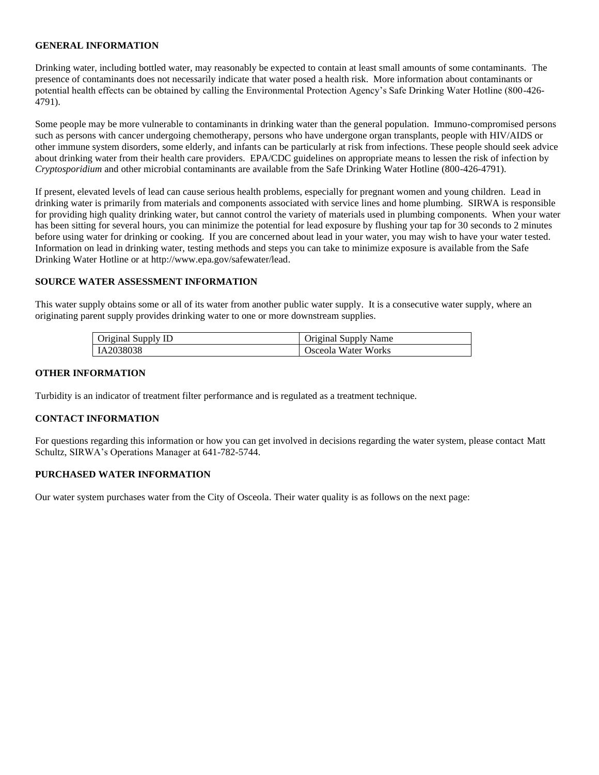Drinking water, including bottled water, may reasonably be expected to contain at least small amounts of some contaminants. The presence of contaminants does not necessarily indicate that water posed a health risk. More information about contaminants or potential health effects can be obtained by calling the Environmental Protection Agency's Safe Drinking Water Hotline (800-426- 4791).

Some people may be more vulnerable to contaminants in drinking water than the general population. Immuno-compromised persons such as persons with cancer undergoing chemotherapy, persons who have undergone organ transplants, people with HIV/AIDS or other immune system disorders, some elderly, and infants can be particularly at risk from infections. These people should seek advice about drinking water from their health care providers. EPA/CDC guidelines on appropriate means to lessen the risk of infection by *Cryptosporidium* and other microbial contaminants are available from the Safe Drinking Water Hotline (800-426-4791).

If present, elevated levels of lead can cause serious health problems, especially for pregnant women and young children. Lead in drinking water is primarily from materials and components associated with service lines and home plumbing. SIRWA is responsible for providing high quality drinking water, but cannot control the variety of materials used in plumbing components. When your water has been sitting for several hours, you can minimize the potential for lead exposure by flushing your tap for 30 seconds to 2 minutes before using water for drinking or cooking. If you are concerned about lead in your water, you may wish to have your water tested. Information on lead in drinking water, testing methods and steps you can take to minimize exposure is available from the Safe Drinking Water Hotline or at http://www.epa.gov/safewater/lead.

### **SOURCE WATER ASSESSMENT INFORMATION**

This water supply obtains some or all of its water from another public water supply. It is a consecutive water supply, where an originating parent supply provides drinking water to one or more downstream supplies.

| Original Supply ID | Original Supply Name |
|--------------------|----------------------|
| IA2038038          | Osceola Water Works  |

#### **OTHER INFORMATION**

Turbidity is an indicator of treatment filter performance and is regulated as a treatment technique.

#### **CONTACT INFORMATION**

For questions regarding this information or how you can get involved in decisions regarding the water system, please contact Matt Schultz, SIRWA's Operations Manager at 641-782-5744.

### **PURCHASED WATER INFORMATION**

Our water system purchases water from the City of Osceola. Their water quality is as follows on the next page: